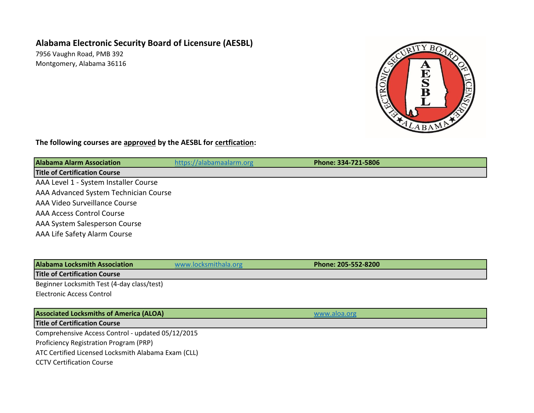## **Alabama Electronic Security Board of Licensure (AESBL)**

7956 Vaughn Road, PMB 392 Montgomery, Alabama 36116



## **The following courses are approved by the AESBL for certfication:**

| <b>Alabama Alarm Association</b>      | https://alabamaalarm.org | Phone: 334-721-5806 |  |
|---------------------------------------|--------------------------|---------------------|--|
| <b>Title of Certification Course</b>  |                          |                     |  |
| AAA Level 1 - System Installer Course |                          |                     |  |
| AAA Advanced System Technician Course |                          |                     |  |
| AAA Video Surveillance Course         |                          |                     |  |
| <b>AAA Access Control Course</b>      |                          |                     |  |
| AAA System Salesperson Course         |                          |                     |  |
| AAA Life Safety Alarm Course          |                          |                     |  |
|                                       |                          |                     |  |

**Alabama Locksmith Association [www.locksmithala.org](http://www.locksmithala.org/) <b>Phone: 205-552-8200** 

**Title of Certification Course**

Beginner Locksmith Test (4-day class/test)

Electronic Access Control

**Associated Locksmiths of America (ALOA)** and the contract of the contract of the contract of the contract of the contract of the contract of the contract of the contract of the contract of the contract of the contract of

**Title of Certification Course**

Comprehensive Access Control - updated 05/12/2015

Proficiency Registration Program (PRP)

ATC Certified Licensed Locksmith Alabama Exam (CLL)

CCTV Certification Course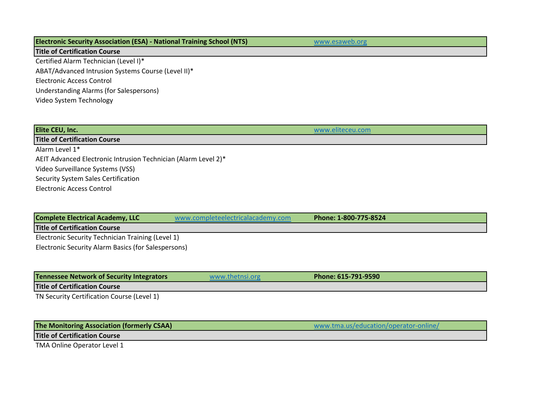| <b>Electronic Security Association (ESA) - National Training School (NTS)</b> | www.esaweb.org |
|-------------------------------------------------------------------------------|----------------|
| <b>Title of Certification Course</b>                                          |                |
| Certified Alarm Technician (Level I)*                                         |                |
| ABAT/Advanced Intrusion Systems Course (Level II)*                            |                |
| <b>Electronic Access Control</b>                                              |                |
| Understanding Alarms (for Salespersons)                                       |                |
| Video System Technology                                                       |                |
|                                                                               |                |

| <b>Elite CEU, Inc.</b>                                         |                                   | www.eliteceu.com      |  |
|----------------------------------------------------------------|-----------------------------------|-----------------------|--|
| <b>Title of Certification Course</b>                           |                                   |                       |  |
| Alarm Level 1*                                                 |                                   |                       |  |
| AEIT Advanced Electronic Intrusion Technician (Alarm Level 2)* |                                   |                       |  |
| Video Surveillance Systems (VSS)                               |                                   |                       |  |
| Security System Sales Certification                            |                                   |                       |  |
| Electronic Access Control                                      |                                   |                       |  |
|                                                                |                                   |                       |  |
|                                                                |                                   |                       |  |
| <b>Complete Electrical Academy, LLC</b>                        | www.completeelectricalacademy.com | Phone: 1-800-775-8524 |  |

**Title of Certification Course**

Electronic Security Technician Training (Level 1) Electronic Security Alarm Basics (for Salespersons)

| Tennessee Network of Security Integrators  | www.thetnsi.org | Phone: 615-791-9590 |
|--------------------------------------------|-----------------|---------------------|
| <b>Title of Certification Course</b>       |                 |                     |
| TN Security Certification Course (Level 1) |                 |                     |

| <b>The Monitoring Association (formerly CSAA)</b> | www.tma.us/education/operator-online/ |
|---------------------------------------------------|---------------------------------------|
|                                                   |                                       |

**Title of Certification Course**

TMA Online Operator Level 1